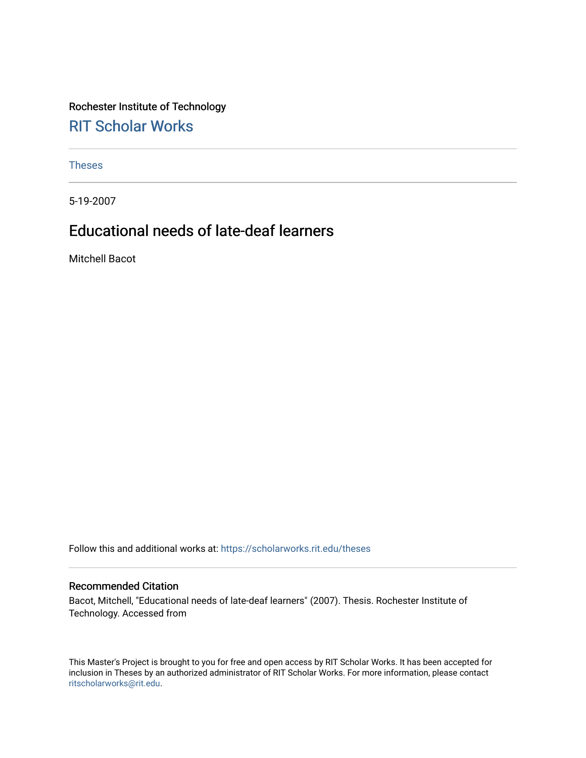Rochester Institute of Technology [RIT Scholar Works](https://scholarworks.rit.edu/)

[Theses](https://scholarworks.rit.edu/theses) 

5-19-2007

# Educational needs of late-deaf learners

Mitchell Bacot

Follow this and additional works at: [https://scholarworks.rit.edu/theses](https://scholarworks.rit.edu/theses?utm_source=scholarworks.rit.edu%2Ftheses%2F3983&utm_medium=PDF&utm_campaign=PDFCoverPages) 

#### Recommended Citation

Bacot, Mitchell, "Educational needs of late-deaf learners" (2007). Thesis. Rochester Institute of Technology. Accessed from

This Master's Project is brought to you for free and open access by RIT Scholar Works. It has been accepted for inclusion in Theses by an authorized administrator of RIT Scholar Works. For more information, please contact [ritscholarworks@rit.edu](mailto:ritscholarworks@rit.edu).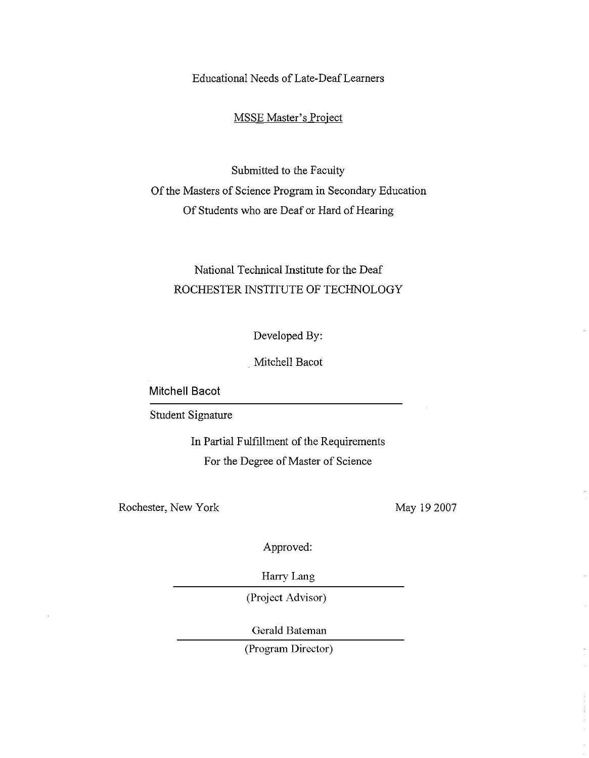Educational Needs of Late-DeafLearners

MSSE Master's Project

Submitted to the Faculty Of the Masters of Science Program in Secondary Education Of Students who are Deaf or Hard of Hearing

# National Technical Institute for the Deaf ROCHESTER INSTITUTE OF TECHNOLOGY

Developed By:

. Mitchell Bacot

**Mitchell Bacot**

Student Signature

In Partial Fulfillment of the Requirements For the Degree of Master of Science

Rochester, New York

May 192007

Approved:

Harry Lang

(Project Advisor)

Gerald Bateman

(Program Director)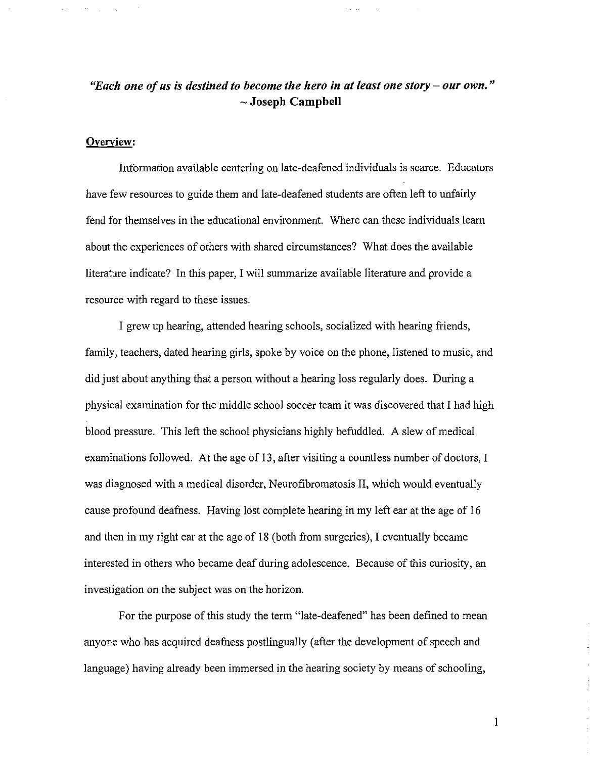# *"Each one ofus is destined to become the hero in at least one story* **-** *our own."* - **Joseph Campbell**

# **Overview:**

 $\mathcal{A}$  and  $\mathcal{A}$  are  $\mathcal{A}$  . In the  $\mathcal{A}$ 

Information available centering on late-deafened individuals is scarce. Educators have few resources to guide them and late-deafened students are often left to unfairly fend for themselves in the educational environment. Where can these individuals learn about the experiences of others with shared circumstances? What does the available literature indicate? In this paper, I will summarize available literature and provide a resource with regard to these issues.

I grew up hearing, attended hearing schools, socialized with hearing friends, family, teachers, dated hearing girls, spoke by voice on the phone, listened to music, and did just about anything that a person without a hearing loss regularly does. During a physical examination for the middle school soccer team it was discovered that I had high blood pressure. This left the school physicians highly befuddled. A slew of medical examinations followed. At the age of 13, after visiting a countless number of doctors, I was diagnosed with a medical disorder, Neurofibromatosis II, which would eventually cause profound deafness. Having lost complete hearing in my left ear at the age of 16 and then in my right ear at the age of 18 (both from surgeries), I eventually became interested in others who became deaf during adolescence. Because of this curiosity, an investigation on the subject was on the horizon.

For the purpose of this study the term "late-deafened" has been defined to mean anyone who has acquired deafness postlingually (after the development of speech and language) having already been immersed in the hearing society by means of schooling,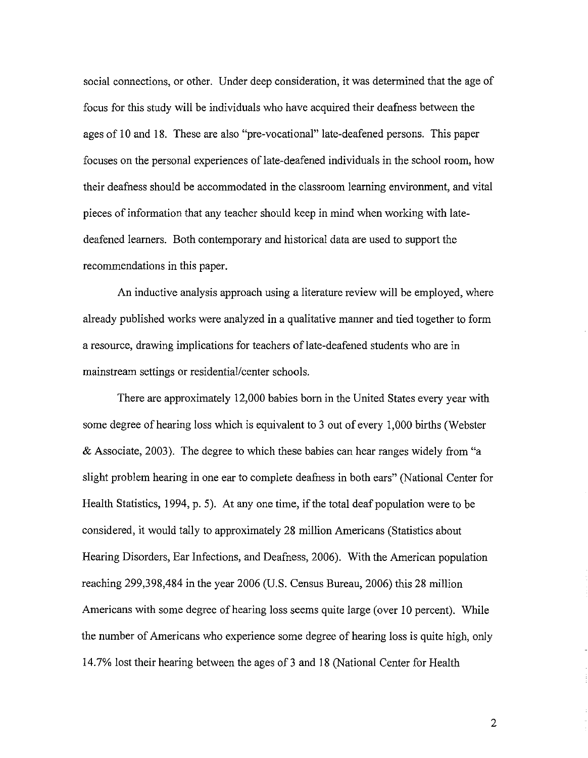social connections, or other. Under deep consideration, it was determined that the age of focus for this study will be individuals who have acquired their deafness between the ages of 10 and 18. These are also "pre-vocational" late-deafened persons. This paper focuses on the personal experiences of late-deafened individuals in the school room, how their deafness should be accommodated in the classroom learning environment, and vital pieces of information that any teacher should keep in mind when working with latedeafened learners. Both contemporary and historical data are used to support the recommendations in this paper.

An inductive analysis approach using a literature review will be employed, where already published works were analyzed in a qualitative manner and tied together to form a resource, drawing implications for teachers of late-deafened students who are in mainstream settings or residential/center schools.

There are approximately 12,000 babies born in the United States every year with some degree of hearing loss which is equivalent to 3 out of every 1,000 births (Webster & Associate, 2003). The degree to which these babies can hear ranges widely from "a slight problem hearing in one ear to complete deafuess in both ears" (National Center for Health Statistics, 1994, p. 5). At any one time, if the total deaf population were to be considered, it would tally to approximately 28 million Americans (Statistics about Hearing Disorders, Ear Infections, and Deafness, 2006). With the American population reaching 299,398,484 in the year 2006 (U.S. Census Bureau, 2006) this 28 million Americans with some degree of hearing loss seems quite large (over 10 percent). While the number of Americans who experience some degree of hearing loss is quite high, only 14.7% lost their hearing between the ages of 3 and 18 (National Center for Health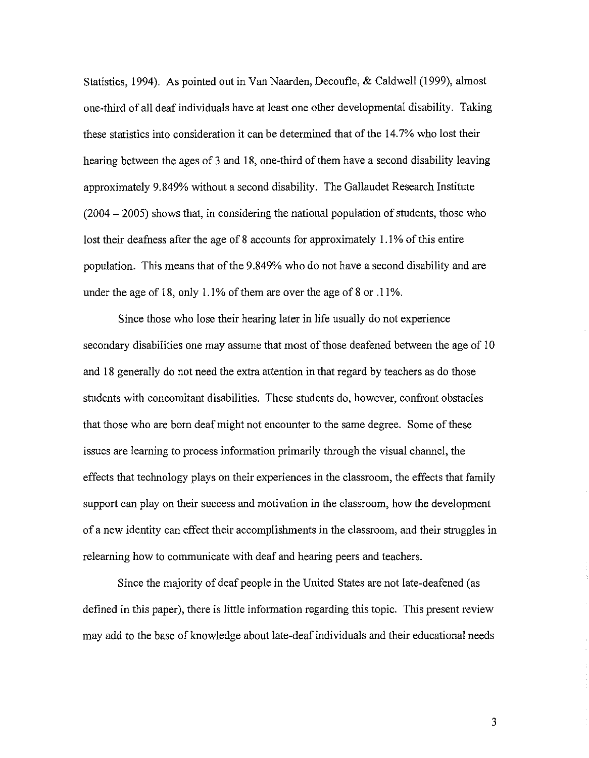Statistics, 1994). As pointed out in Van Naarden, Decoufle, & Caldwell (1999), almost one-third of all deaf individuals have at least one other developmental disability. Taking these statistics into consideration it can be determined that of the 14.7% who lost their hearing between the ages of 3 and 18, one-third of them have a second disability leaving approximately 9.849% without a second disability. The Gallaudet Research Institute  $(2004 - 2005)$  shows that, in considering the national population of students, those who lost their deafness after the age of 8 accounts for approximately 1.1% of this entire population. This means that of the 9.849% who do not have a second disability and are under the age of 18, only 1.1% of them are over the age of 8 or  $.11%$ .

Since those who lose their hearing later in life usually do not experience secondary disabilities one may assume that most of those deafened between the age of 10 and 18 generally do not need the extra attention in that regard by teachers as do those students with concomitant disabilities. These students do, however, confront obstacles that those who are born deaf might not encounter to the same degree. Some of these issues are learning to process information primarily through the visual channel, the effects that technology plays on their experiences in the classroom, the effects that family support can play on their success and motivation in the classroom, how the development of a new identity can effect their accomplishments in the classroom, and their struggles in relearning how to communicate with deaf and hearing peers and teachers.

Since the majority of deaf people in the United States are not late-deafened (as defined in this paper), there is little information regarding this topic. This present review may add to the base of knowledge about late-deaf individuals and their educational needs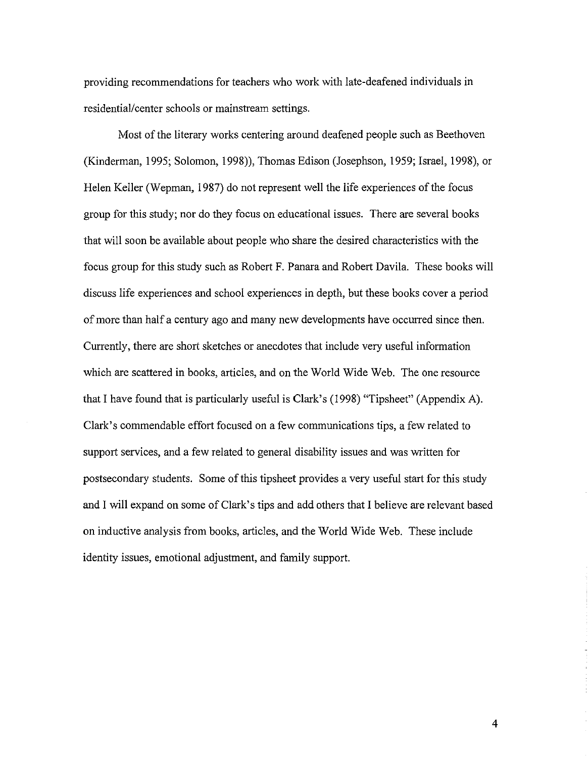providing recommendations for teachers who work with late-deafened individuals in residential/center schools or mainstream settings.

Most of the literary works centering around deafened people such as Beethoven (Kinderman, 1995; Solomon, 1998)), Thomas Edison (Josephson, 1959; Israel, 1998), or Helen Keller (Wepman, 1987) do not represent well the life experiences of the focus group for this study; nor do they focus on educational issues. There are several books that will soon be available about people who share the desired characteristics with the focus group for this study such as Robert F. Panara and Robert Davila. These books will discuss life experiences and school experiences in depth, but these books cover a period of more than half a century ago and many new developments have occurred since then. Currently, there are short sketches or anecdotes that include very useful information which are scattered in books, articles, and on the World Wide Web. The one resource that I have found that is particularly useful is Clark's (1998) "Tipsheet" (Appendix A). Clark's commendable effort focused on a few communications tips, a few related to support services, and a few related to general disability issues and was written for postsecondary students. Some of this tipsheet provides a very useful start for this study and I will expand on some of Clark's tips and add others that I believe are relevant based on inductive analysis from books, articles, and the World Wide Web. These include identity issues, emotional adjustment, and family support.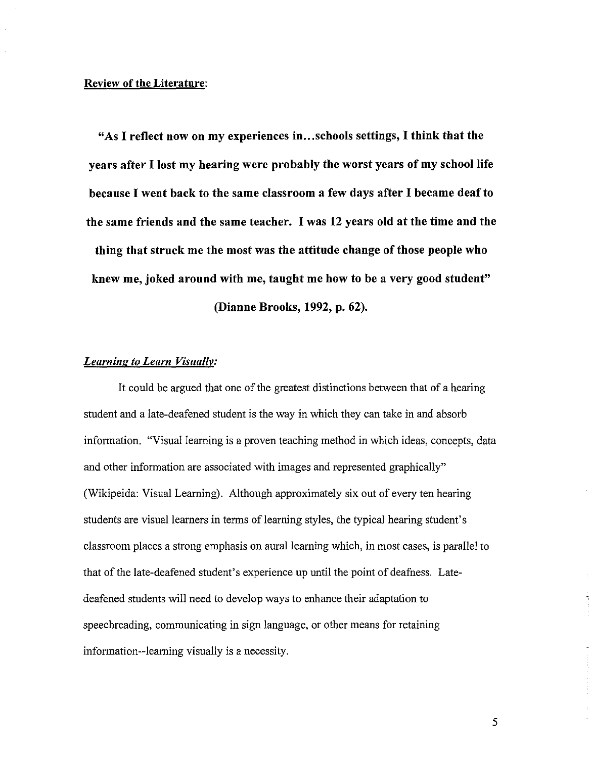#### **Review of the Literature:**

**"As I reflect now on my experiences in..** .schools **settings, I think that the years after I lost my hearing were probably the worst years of my school life because I went back to the same classroom a few days after I became** deafto **the same friends and the same teacher. I was 12 years old at the time and the thing that struck me the most was the attitude change of those people who knew me, joked around with me, taught me how to be a very good student" (Dianne Brooks, 1992, p. 62).**

### *Learning to Learn Visually:*

It could be argued that one of the greatest distinctions between that of a hearing student and a late-deafened student is the way in which they can take in and absorb information. "Visual learning is a proven teaching method in which ideas, concepts, data and other information are associated with images and represented graphically" (Wikipeida: Visual Learning). Although approximately six out of every ten hearing students are visual learners in terms of learning styles, the typical hearing student's classroom places a strong emphasis on aural learning which, in most cases, is parallel to that of the late-deafened student's experience up until the point of deafness. Latedeafened students will need to develop ways to enhance their adaptation to speechreading, communicating in sign language, or other means for retaining information--learning visually is a necessity.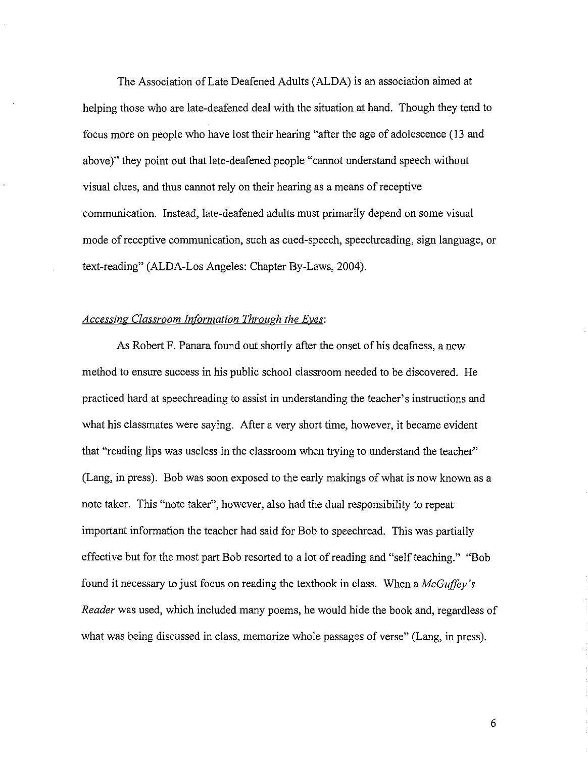The Association of Late Deafened Adults (ALDA) is an association aimed at helping those who are late-deafened deal with the situation at hand. Though they tend to focus more on people who have lost their hearing "after the age of adolescence (13 and above)" they point out that late-deafened people "cannot understand speech without visual clues, and thus cannot rely on their hearing as a means ofreceptive communication. Instead, late-deafened adults must primarily depend on some visual mode of receptive communication, such as cued-speech, speechreading, sign language, or text-reading" (ALDA-Los Angeles: Chapter By-Laws, 2004).

# *Accessing Classroom InfOrmation Through the Eves:*

As Robert F. Panara found out shortly after the onset of his deafness, a new method to ensure success in his public school classroom needed to be discovered. He practiced hard at speechreading to assist in understanding the teacher's instructions and what his classmates were saying. After a very short time, however, it became evident that "reading lips was useless in the classroom when trying to understand the teacher" (Lang, in press). Bob was soon exposed to the early makings of what is now known as a note taker. This "note taker", however, also had the dual responsibility to repeat important information the teacher had said for Bob to speechread. This was partially effective but for the most part Bob resorted to a lot of reading and "self teaching." "Bob found it necessary to just focus on reading the textbook in class. When a *McGuffey's Reader* was used, which included many poems, he would hide the book and, regardless of what was being discussed in class, memorize whole passages of verse" (Lang, in press).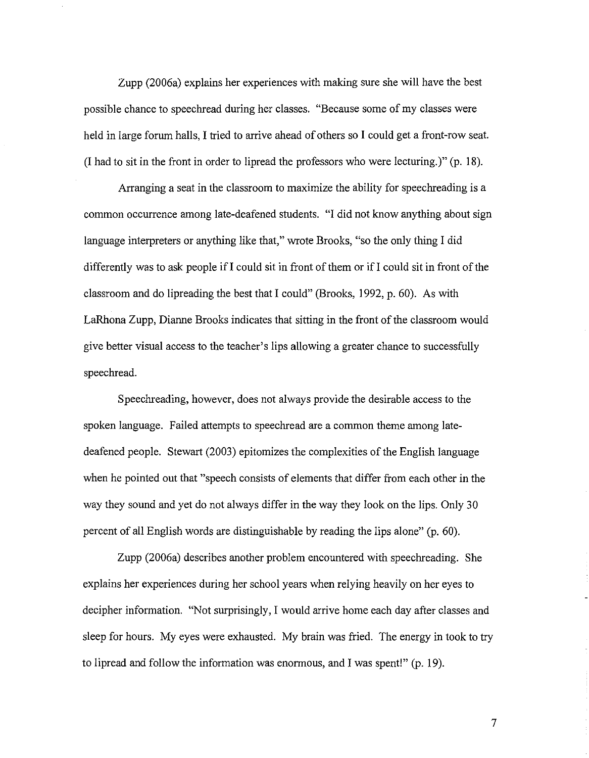Zupp (2006a) explains her experiences with making sure she will have the best possible chance to speechread during her classes. "Because some of my classes were held in large forum halls, I tried to arrive ahead of others so I could get a front-row seat. (I had to sit in the front in order to lipread the professors who were lecturing.)" (p. 18).

Arranging a seat in the classroom to maximize the ability for speechreading is a common occurrence among late-deafened students. "I did not know anything about sign language interpreters or anything like that," wrote Brooks, "so the only thing I did differently was to ask people if  $I$  could sit in front of them or if  $I$  could sit in front of the classroom and do lipreading the best that I could" (Brooks, 1992, p. 60). As with LaRhona Zupp, Dianne Brooks indicates that sitting in the front of the classroom would give better visual access to the teacher's lips allowing a greater chance to successfully speechread.

Speechreading, however, does not always provide the desirable access to the spoken language. Failed attempts to speechread are a common theme among latedeafened people. Stewart (2003) epitomizes the complexities of the English language when he pointed out that "speech consists of elements that differ from each other in the way they sound and yet do not always differ in the way they look on the lips. Only 30 percent of all English words are distinguishable by reading the lips alone" (p. 60).

Zupp (2006a) describes another problem encountered with speechreading. She explains her experiences during her school years when relying heavily on her eyes to decipher information. "Not surprisingly, I would arrive home each day after classes and sleep for hours. My eyes were exhausted. My brain was fried. The energy in took to try to lipread and follow the information was enormous, and I was spent!" (p. 19).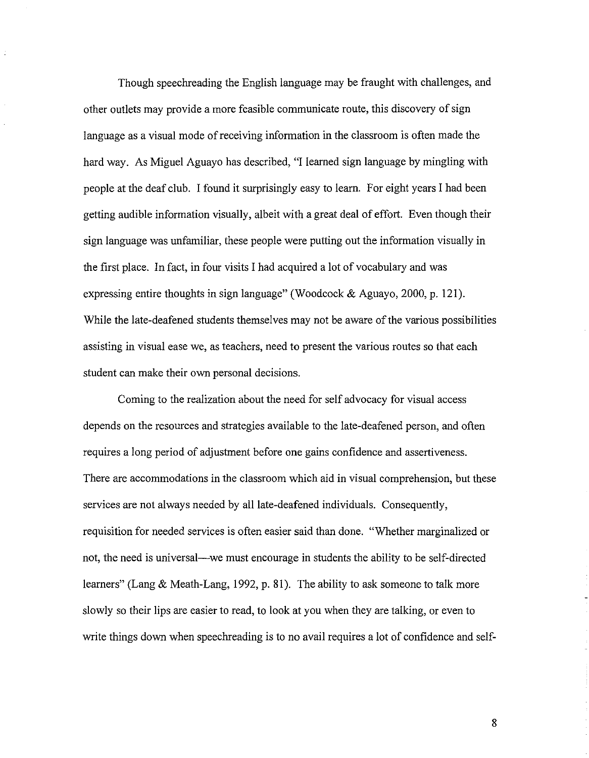Though speechreading the English language may be fraught with challenges, and other outlets may provide a more feasible communicate route, this discovery of sign language as a visual mode of receiving information in the classroom is often made the hard way. As Miguel Aguayo has described, "I learned sign language by mingling with people at the deaf club. I found it surprisingly easy to learn. For eight years I had been getting audible information visually, albeit with a great deal of effort. Even though their sign language was unfamiliar, these people were putting out the information visually in the first place. In fact, in four visits I had acquired a lot of vocabulary and was expressing entire thoughts in sign language" (Woodcock & Aguayo, 2000, p. 121). While the late-deafened students themselves may not be aware of the various possibilities assisting in visual ease we, as teachers, need to present the various routes so that each student can make their own personal decisions.

Coming to the realization about the need for self advocacy for visual access depends on the resources and strategies available to the late-deafened person, and often requires a long period of adjustment before one gains confidence and assertiveness. There are accommodations in the classroom which aid in visual comprehension, but these services are not always needed by all late-deafened individuals. Consequently, requisition for needed services is often easier said than done. "Whether marginalized or not, the need is universal—we must encourage in students the ability to be self-directed learners" (Lang & Meath-Lang, 1992, p. 81). The ability to ask someone to talk more slowly so their lips are easier to read, to look at you when they are talking, or even to write things down when speechreading is to no avail requires a lot of confidence and self-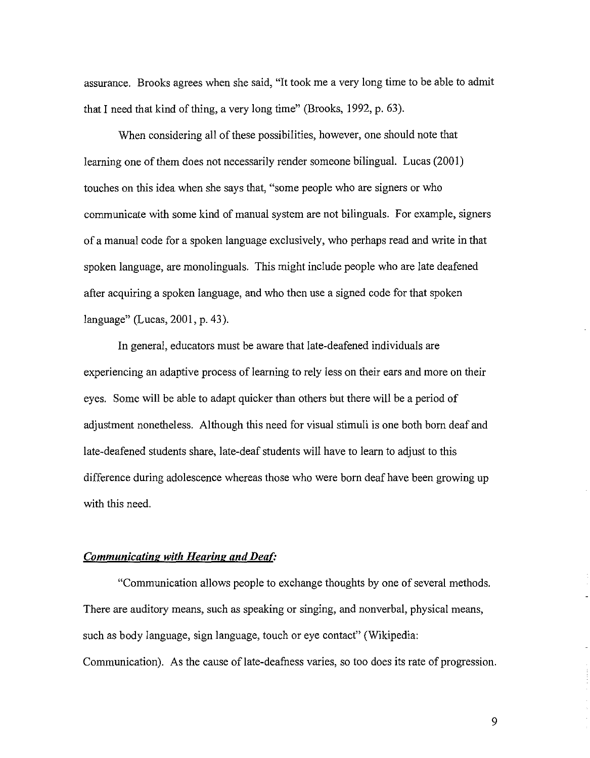assurance. Brooks agrees when she said, "It took me a very long time to be able to admit that I need that kind of thing, a very long time" (Brooks, 1992, p. 63).

When considering all of these possibilities, however, one should note that learning one of them does not necessarily render someone bilingual. Lucas (2001) touches on this idea when she says that, "some people who are signers or who communicate with some kind of manual system are not bilinguals. For example, signers of a manual code for a spoken language exclusively, who perhaps read and write in that spoken language, are monolinguals. This might include people who are late deafened after acquiring a spoken language, and who then use a signed code for that spoken language" (Lucas, 2001, p. 43).

In general, educators must be aware that late-deafened individuals are experiencing an adaptive process of learning to rely less on their ears and more on their eyes. Some will be able to adapt quicker than others but there will be a period of adjustment nonetheless. Although this need for visual stimuli is one both born deaf and late-deafened students share, late-deaf students will have to learn to adjust to this difference during adolescence whereas those who were born deaf have been growing up with this need.

### *Communicating with Hearing and Deaf:*

"Communication allows people to exchange thoughts by one of several methods. There are auditory means, such as speaking or singing, and nonverbal, physical means, such as body language, sign language, touch or eye contact" (Wikipedia: Communication). As the cause of late-deafness varies, so too does its rate of progression.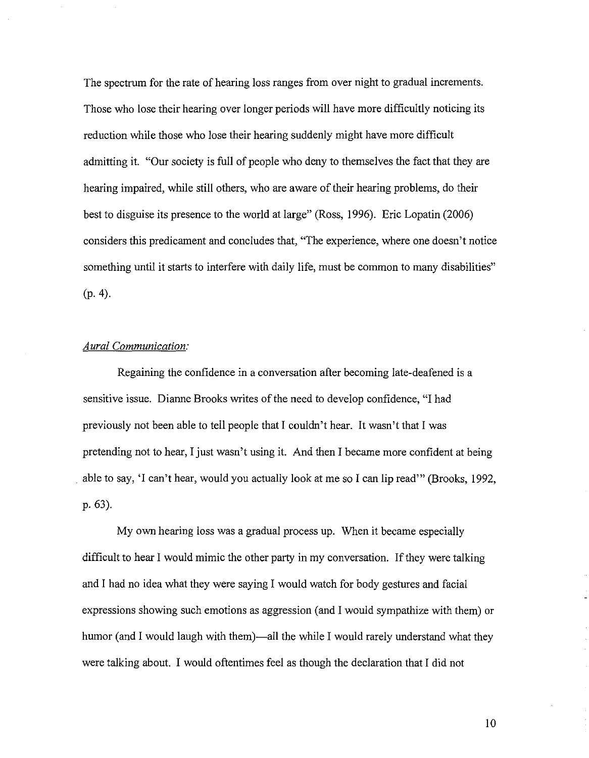The spectrum for the rate of hearing loss ranges from over night to gradual increments. Those who lose their hearing over longer periods will have more difficultly noticing its reduction while those who lose their hearing suddenly might have more difficult admitting it. "Our society is full of people who deny to themselves the fact that they are hearing impaired, while still others, who are aware of their hearing problems, do their best to disguise its presence to the world at large" (Ross, 1996). Eric Lopatin (2006) considers this predicament and concludes that, "The experience, where one doesn't notice something until it starts to interfere with daily life, must be common to many disabilities" (p.4).

# *Aural Communication:*

Regaining the confidence in a conversation after becoming late-deafened is a sensitive issue. Dianne Brooks writes of the need to develop confidence, "I had previously not been able to tell people that I couldn't hear. It wasn't that I was pretending not to hear, I just wasn't using it. And then I became more confident at being . able to say, 'I can't hear, would you actually look at me so I can lip read'" (Brooks, 1992, p.63).

My own hearing loss was a gradual process up. When it became especially difficult to hear I would mimic the other party in my conversation. If they were talking and I had no idea what they were saying I would watch for body gestures and facial expressions showing such emotions as aggression (and I would sympathize with them) or humor (and I would laugh with them)—all the while I would rarely understand what they were talking about. I would oftentimes feel as though the declaration that I did not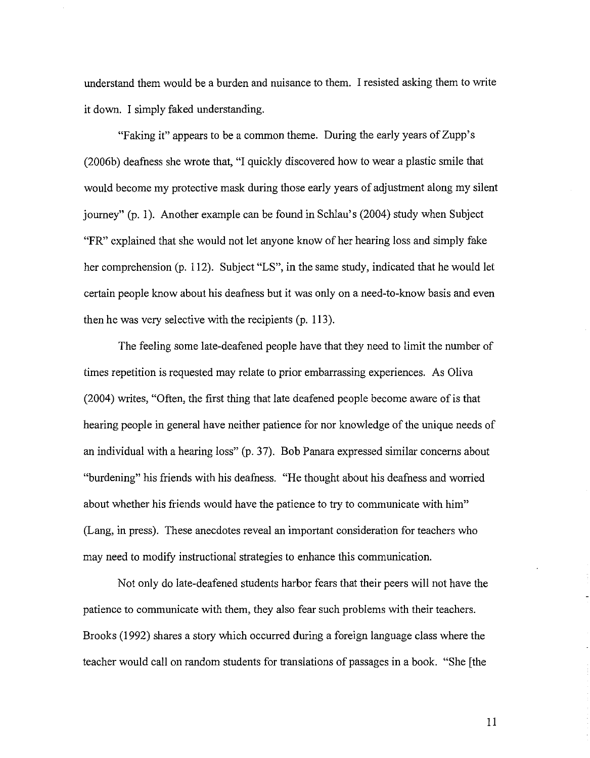understand them would be a burden and nuisance to them. 1resisted asking them to write it down. 1 simply faked understanding.

"Faking it" appears to be a common theme. During the early years ofZupp's (2006b) deafness she wrote that, "I quickly discovered how to wear a plastic smile that would become my protective mask during those early years of adjustment along my silent journey" (p. I). Another example can be found in SchIau's (2004) study when Subject "FR" explained that she would not let anyone know of her hearing loss and simply fake her comprehension (p. 112). Subject "LS", in the same study, indicated that he would let certain people know about his deafness but it was only on a need-to-know basis and even then he was very selective with the recipients (p. 113).

The feeling some late-deafened people have that they need to limit the number of times repetition is requested may relate to prior embarrassing experiences. As Oliva (2004) writes, "Often, the first thing that late deafened people become aware of is that hearing people in general have neither patience for nor knowledge of the unique needs of an individual with a hearing loss" (p. 37). Bob Panara expressed similar concerns about "burdening" his friends with his deafness. "He thought about his deafness and worried about whether his friends would have the patience to try to communicate with him" (Lang, in press). These anecdotes reveal an important consideration for teachers who may need to modify instructional strategies to enhance this communication.

Not only do late-deafened students harbor fears that their peers will not have the patience to communicate with them, they also fear such problems with their teachers. Brooks (1992) shares a story which occurred during a foreign language class where the teacher would call on random students for translations of passages in a book. "She [the

II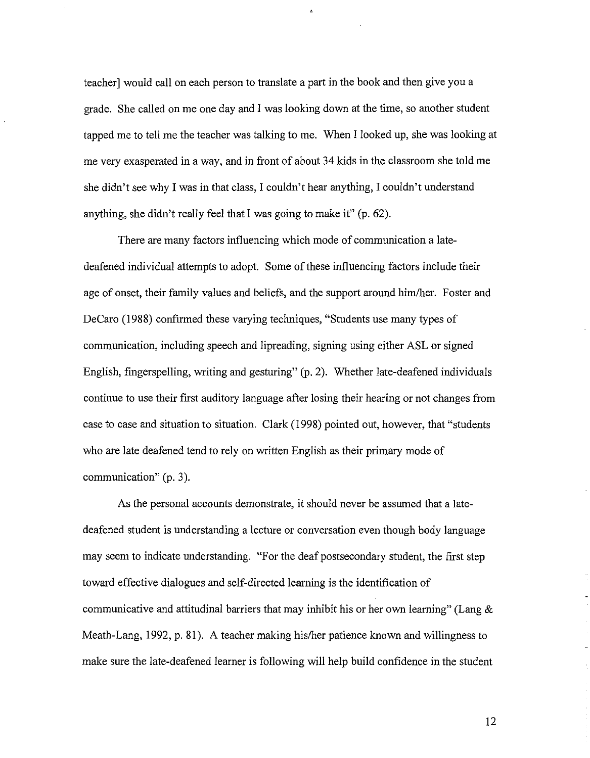teacher] would call on each person to translate a part in the book and then give you a grade. She called on me one day and I was looking down at the time, so another student tapped me to tell me the teacher was talking to me. When I looked up, she was looking at me very exasperated in a way, and in front of about 34 kids in the classroom she told me she didn't see why I was in that class, I couldn't hear anything, I couldn't understand anything, she didn't really feel that I was going to make it" (p. 62).

é,

There are many factors influencing which mode of communication a latedeafened individual attempts to adopt. Some of these influencing factors include their age of onset, their family values and beliefs, and the support around him/her. Foster and DeCaro (1988) confirmed these varying techniques, "Students use many types of communication, including speech and lipreading, signing using either ASL or signed English, fingerspelling, writing and gesturing" (p. 2). Whether late-deafened individuals continue to use their first auditory language after losing their hearing or not changes from case to case and situation to situation. Clark (1998) pointed out, however, that "students who are late deafened tend to rely on written English as their primary mode of communication" (p. 3).

As the personal accounts demonstrate, it should never be assumed that a latedeafened student is understanding a lecture or conversation even though body language may seem to indicate understanding. "For the deaf postsecondary student, the first step toward effective dialogues and self-directed learning is the identification of communicative and attitudinal barriers that may inhibit his or her own learning" (Lang  $\&$ Meath-Lang, 1992, p. 81). A teacher making his/her patience known and willingness to make sure the late-deafened learner is following will help build confidence in the student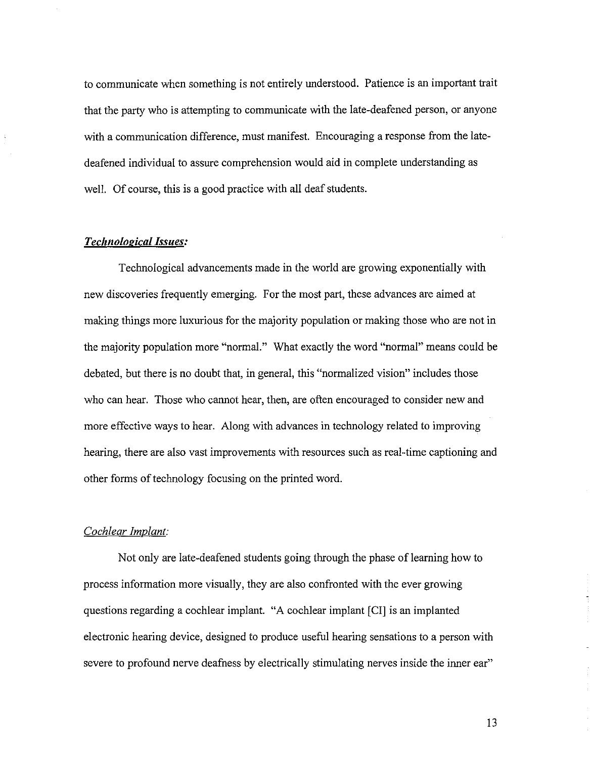to communicate when something is not entirely understood. Patience is an important trait that the party who is attempting to communicate with the late-deafened person, or anyone with a communication difference, must manifest. Encouraging a response from the latedeafened individual to assure comprehension would aid in complete understanding as well. Of course, this is a good practice with all deaf students.

# *Technological Issues:*

Technological advancements made in the world are growing exponentially with new discoveries frequently emerging. For the most part, these advances are aimed at making things more luxurious for the majority population or making those who are not in the majority population more "norma!." What exactly the word "normal" means could be debated, but there is no doubt that, in general, this "normalized vision" includes those who can hear. Those who cannot hear, then, are often encouraged to consider new and more effective ways to hear. Along with advances in technology related to improving hearing, there are also vast improvements with resources such as real-time captioning and other forms of technology focusing on the printed word.

# *Cochlear Implant:*

Not only are late-deafened students going through the phase of learning how to process information more visually, they are also confronted with the ever growing questions regarding a cochlear implant. "A cochlear implant [CI] is an implanted electronic hearing device, designed to produce useful hearing sensations to a person with severe to profound nerve deafness by electrically stimulating nerves inside the inner ear"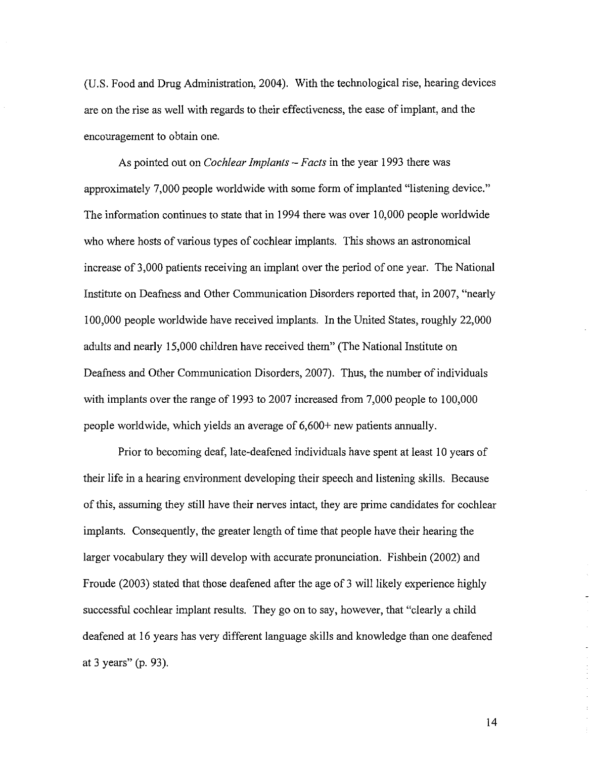(U.S. Food and Drug Administration, 2004). With the technological rise, hearing devices are on the rise as well with regards to their effectiveness, the ease of implant, and the encouragement to obtain one.

As pointed out on *Cochlear Implants* - *Facts* in the year 1993 there was approximately 7,000 people worldwide with some form of implanted "listening device." The information continues to state that in 1994 there was over 10,000 people worldwide who where hosts of various types of cochlear implants. This shows an astronomical increase of 3,000 patients receiving an implant over the period of one year. The National Institute on Deafness and Other Communication Disorders reported that, in 2007, "nearly 100,000 people worldwide have received implants. In the United States, roughly 22,000 adults and nearly 15,000 children have received them" (The National Institute on Deafness and Other Communication Disorders, 2007). Thus, the number of individuals with implants over the range of 1993 to 2007 increased from 7,000 people to 100,000 people worldwide, which yields an average of 6,600+ new patients annually.

Prior to becoming deaf, late-deafened individuals have spent at least 10 years of their life in a hearing environment developing their speech and listening skills. Because of this, assuming they still have their nerves intact, they are prime candidates for cochlear implants. Consequently, the greater length of time that people have their hearing the larger vocabulary they will develop with accurate pronunciation. Fishbein (2002) and Froude (2003) stated that those deafened after the age of 3 will likely experience highly successful cochlear implant results. They go on to say, however, that "clearly a child deafened at 16 years has very different language skills and knowledge than one deafened at 3 years" (p. 93).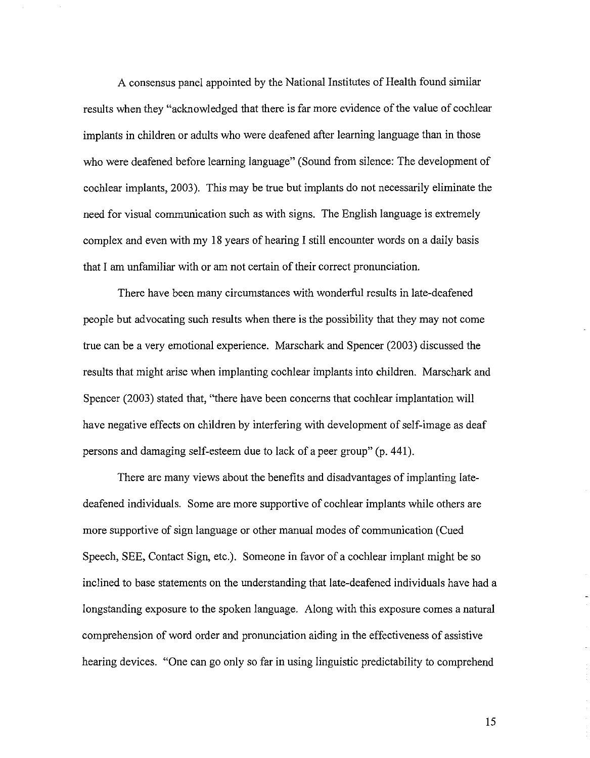A consensus panel appointed by the National Institutes of Health found similar results when they "acknowledged that there is far more evidence of the value of cochlear implants in children or adults who were deafened after learning language than in those who were deafened before learning language" (Sound from silence: The development of cochlear implants, 2003). This may be true but implants do not necessarily eliminate the need for visual communication such as with signs. The English language is extremely complex and even with my 18 years of hearing I still encounter words on a daily basis that I am unfamiliar with or am not certain of their correct pronunciation.

There have been many circumstances with wonderful results in late-deafened people but advocating such results when there is the possibility that they may not come true can be a very emotional experience. Marschark and Spencer (2003) discussed the results that might arise when implanting cochlear implants into children. Marschark and Spencer (2003) stated that, "there have been concerns that cochlear implantation will have negative effects on children by interfering with development of self-image as deaf persons and damaging self-esteem due to lack of a peer group" (p. **44** I).

There are many views about the benefits and disadvantages of implanting latedeafened individuals. Some are more supportive of cochlear implants while others are more supportive of sign language or other manual modes of communication (Cued Speech, SEE, Contact Sign, etc.). Someone in favor of a cochlear implant might be so inclined to base statements on the understanding that late-deafened individuals have had a longstanding exposure to the spoken language. Along with this exposure comes a natural comprehension of word order and pronunciation aiding in the effectiveness of assistive hearing devices. "One can go only so far in using linguistic predictability to comprehend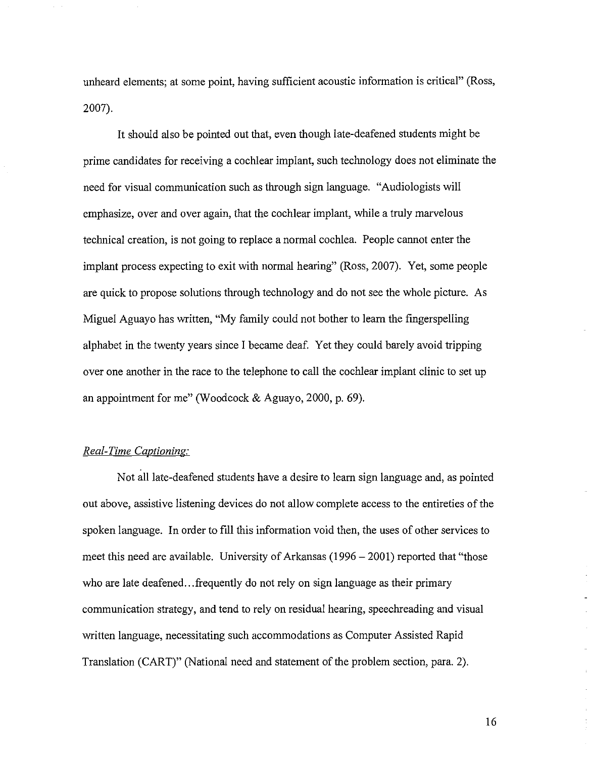unheard elements; at some point, having sufficient acoustic information is critical" (Ross, 2007).

It should also be pointed out that, even though late-deafened students might be prime candidates for receiving a cochlear implant, such technology does not eliminate the need for visual communication such as through sign language. "Audiologists will emphasize, over and over again, that the cochlear implant, while a truly marvelous technical creation, is not going to replace a normal cochlea. People cannot enter the implant process expecting to exit with normal hearing" (Ross, 2007). Yet, some people are quick to propose solutions through technology and do not see the whole picture. As Miguel Aguayo has written, "My family could not bother to learn the fingerspelling alphabet in the twenty years since I became deaf. Yet they could barely avoid tripping over one another in the race to the telephone to call the cochlear implant clinic to set up an appointment for me" (Woodcock & Aguayo, 2000, p. 69).

## *Real-Time Captioning:*

Not all late-deafened students have a desire to learn sign language and, as pointed out above, assistive listening devices do not allow complete access to the entireties of the spoken language. In order to fill this information void then, the uses of other services to meet this need are available. University of Arkansas  $(1996 - 2001)$  reported that "those who are late deafened...frequently do not rely on sign language as their primary communication strategy, and tend to rely on residual hearing, speechreading and visual written language, necessitating such accommodations as Computer Assisted Rapid Translation (CART)" (National need and statement of the problem section, para. 2).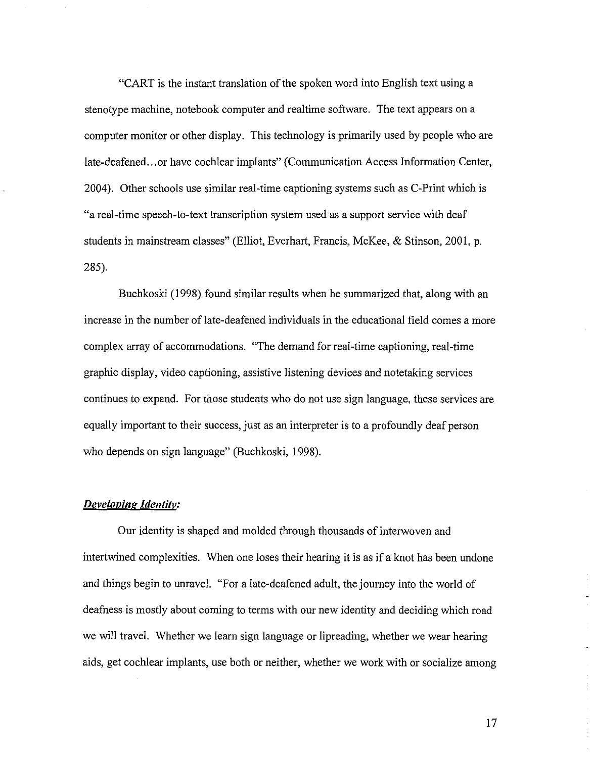"CART is the instant translation of the spoken word into English text using a stenotype machine, notebook computer and realtime software. The text appears on a computer monitor or other display. This technology is primarily used by people who are late-deafened...or have cochlear implants" (Communication Access Information Center, 2004). Other schools use similar real-time captioning systems such as C-Print which is "a real-time speech-to-text transcription system used as a support service with deaf students in mainstream classes" (Elliot, Everhart, Francis, McKee, & Stinson, 2001, p. 285).

Buchkoski (1998) found similar results when he summarized that, along with an increase in the number of late-deafened individuals in the educational field comes a more complex array of accommodations. "The demand for real-time captioning, real-time graphic display, video captioning, assistive listening devices and notetaking services continues to expand. For those students who do not use sign language, these services are equally important to their success, just as an interpreter is to a profoundly deaf person who depends on sign language" (Buchkoski, 1998).

#### *Developing Identitv:*

Our identity is shaped and molded through thousands of interwoven and intertwined complexities. When one loses their hearing it is as if a knot has been undone and things begin to unravel. "For a late-deafened adult, the journey into the world of deafness is mostly about coming to terms with our new identity and deciding which road we will travel. Whether we learn sign language or lipreading, whether we wear hearing aids, get cochlear implants, use both or neither, whether we work with or socialize among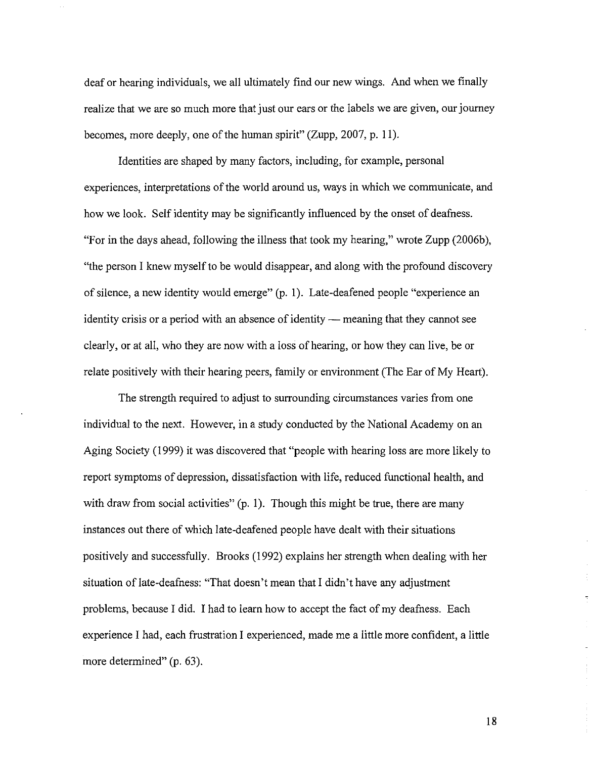deaf or hearing individuals, we all ultimately find our new wings. And when we finally realize that we are so much more that just our ears or the labels we are given, our journey becomes, more deeply, one of the human spirit" (Zupp, 2007, p. 11).

Identities are shaped by many factors, including, for example, personal experiences, interpretations of the world around us, ways in which we communicate, and how we look. Self identity may be significantly influenced by the onset of deafness. "For in the days ahead, following the illness that took my hearing," wrote Zupp (2006b), "the person I knew myself to be would disappear, and along with the profound discovery of silence, a new identity would emerge" (p. 1). Late-deafened people "experience an identity crisis or a period with an absence of identity — meaning that they cannot see clearly, or at all, who they are now with a loss of hearing, or how they can live, be or relate positively with their hearing peers, family or environment (The Ear of My Heart).

The strength required to adjust to surrounding circumstances varies from one individual to the next. However, in a study conducted by the National Academy on an Aging Society (1999) it was discovered that "people with hearing loss are more likely to report symptoms of depression, dissatisfaction with life, reduced functional health, and with draw from social activities" (p. 1). Though this might be true, there are many instances out there of which late-deafened people have dealt with their situations positively and successfully. Brooks (1992) explains her strength when dealing with her situation of late-deafness: "That doesn't mean that I didn't have any adjustment problems, because I did. I had to learn how to accept the fact of my deafness. Each experience I had, each frustration I experienced, made me a little more confident, a little more determined" (p. 63).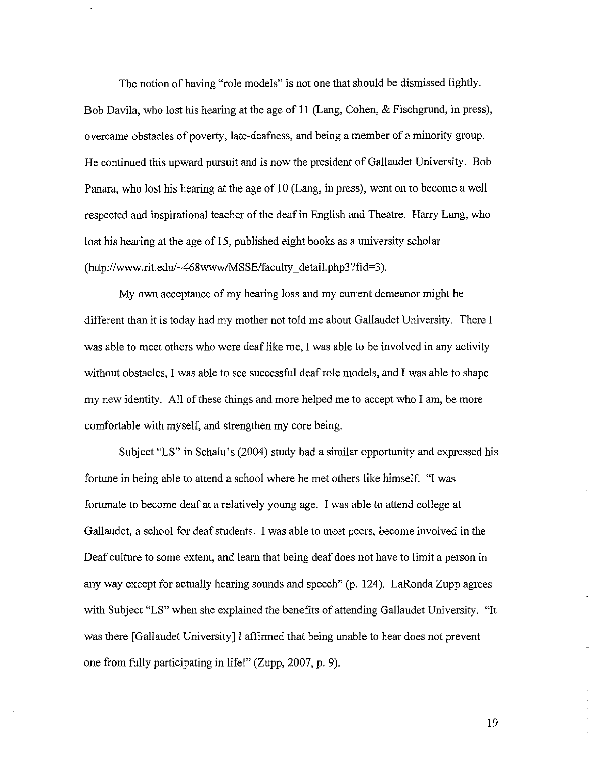The notion of having "role models" is not one that should be dismissed lightly. Bob Davila, who lost his hearing at the age of II (Lang, Cohen, & Fischgrund, in press), overcame obstacles of poverty, late-deafness, and being a member of a minority group. He continued this upward pursuit and is now the president of Gallaudet University. Bob Panara, who lost his hearing at the age of 10 (Lang, in press), went on to become a well respected and inspirational teacher of the deaf in English and Theatre. Harry Lang, who lost his hearing at the age of 15, published eight books as a university scholar (http://www.rit.edu/-468www/MSSE/faculty\_detail.php3?fid=3).

My own acceptance of my hearing loss and my current demeanor might be different than it is today had my mother not told me about Gallaudet University. There 1 was able to meet others who were deaf like me. I was able to be involved in any activity without obstacles, I was able to see successful deaf role models, and I was able to shape my new identity. All of these things and more helped me to accept who I am, be more comfortable with myself, and strengthen my core being.

Subject "LS" in Schalu's (2004) study had a similar opportunity and expressed his fortune in being able to attend a school where he met others like himself. "1 was fortunate to become deaf at a relatively young age. 1was able to attend college at Gallaudet, a school for deafstudents. 1 was able to meet peers, become involved in the Deaf culture to some extent, and learn that being deaf does not have to limit a person in any way except for actually hearing sounds and speech" (p. 124). LaRonda Zupp agrees with Subject "LS" when she explained the benefits of attending Gallaudet University. "It was there [Gallaudet University] I affirmed that being unable to hear does not prevent one from fully participating in life!" (Zupp, 2007, p. 9).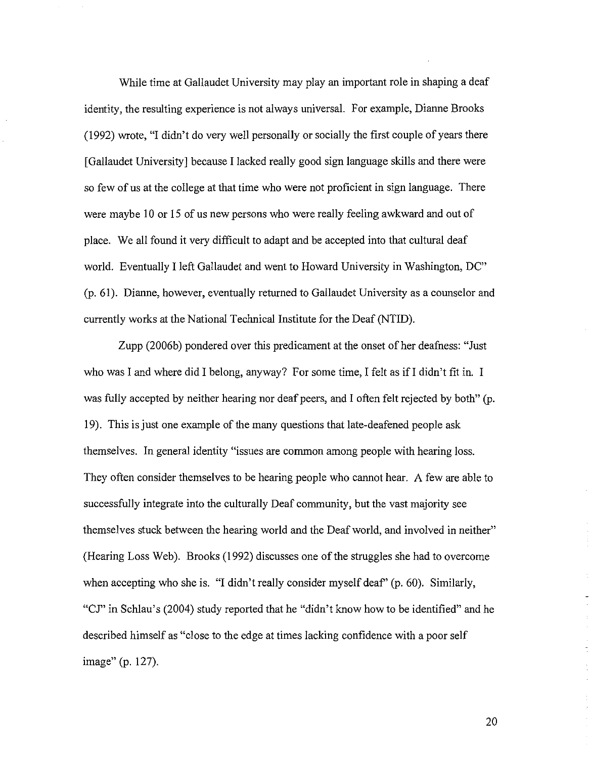While time at Gallaudet University may play an important role in shaping a deaf identity, the resulting experience is not always universal. For example, Dianne Brooks (1992) wrote, "I didn't do very well personally or socially the first couple of years there [Gallaudet University] because I lacked really good sign language skills and there were so few of us at the college at that time who were not proficient in sign language. There were maybe 10 or 15 of us new persons who were really feeling awkward and out of place. We all found it very difficult to adapt and be accepted into that cultural deaf world. Eventually I left Gallaudet and went to Howard University in Washington, DC" (p.61). Dianne, however, eventually returned to Gallaudet University as a counselor and currently works at the National Technical Institute for the Deaf (NTID).

Zupp (2006b) pondered over this predicament at the onset of her deafness: "Just who was I and where did I belong, anyway? For some time, I felt as if I didn't fit in. I was fully accepted by neither hearing nor deaf peers, and I often felt rejected by both" (p. 19). This is just one example of the many questions that late-deafened people ask themselves. In general identity "issues are common among people with hearing loss. They often consider themselves to be hearing people who cannot hear. A few are able to successfully integrate into the culturally Deaf community, but the vast majority see themselves stuck between the hearing world and the Deaf world, and involved in neither" (Hearing Loss Web). Brooks (1992) discusses one of the struggles she had to overcome when accepting who she is. "I didn't really consider myself deaf' (p. 60). Similarly, "CJ" in Schlau's (2004) study reported that he "didn't know how to be identified" and he described himself as "close to the edge at times lacking confidence with a poor self image" (p. 127).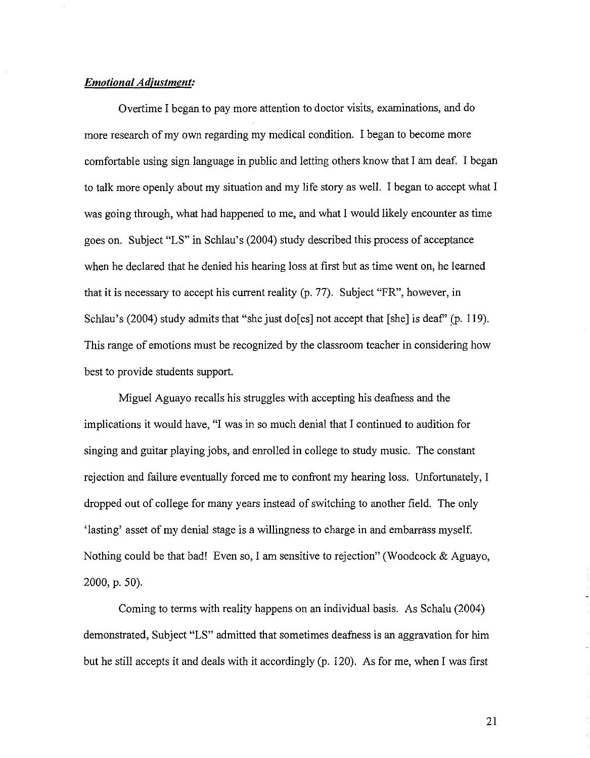# **Emotional Adjustment:**

Overtime I began to pay more attention to doctor visits, examinations, and do more research of my own regarding my medical condition. I began to become more comfortable using sign language in public and letting others know that I am deaf. I began to talk more openly about my situation and my life story as well. I began to accept what I was going through, what had happened to me, and what I would likely encounter as time goes on. Subject "LS" in Schlau's (2004) study described this process of acceptance when he declared that he denied his hearing loss at first but as time went on, he learned that it is necessary to accept his current reality (p. 77). Subject "FR", however, in Schlau's (2004) study admits that "she just do[es] not accept that [she] is deaf" (p. 119). This range of emotions must be recognized by the classroom teacher in considering how best to provide students support.

Miguel Aguayo recalls his struggles with accepting his deafness and the implications it would have, "I was in so much denial that I continued to audition for singing and guitar playing jobs, and enrolled in college to study music. The constant rejection and failure eventually forced me to confront my hearing loss. Unfortunately, I dropped out of college for many years instead of switching to another field. The only 'lasting' asset of my denial stage is a willingness to charge in and embarrass myself. Nothing could be that bad! Even so, I am sensitive to rejection" (Woodcock & Aguayo, 2000, p. 50).

Coming to terms with reality happens on an individual basis. As Schalu (2004) demonstrated, Subject "LS" admitted that sometimes deafness is an aggravation for him but he still accepts it and deals with it accordingly (p. 120). As for me, when I was first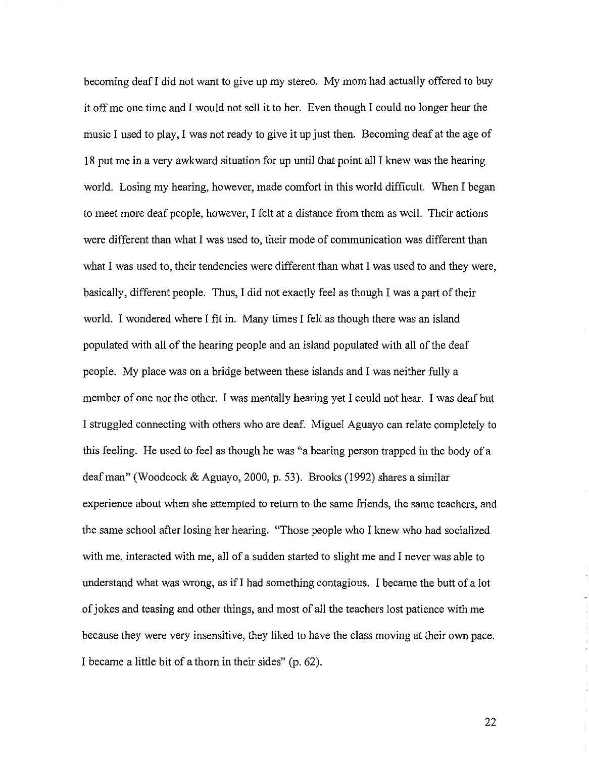becoming deafI did not want to give up my stereo. My mom had actually offered to buy it off me one time and I would not sell it to her. Even though I could no longer hear the music I used to play, I was not ready to give it up just then. Becoming deaf at the age of 18 put me in a very awkward situation for up until that point all I knew was the hearing world. Losing my hearing, however, made comfort in this world difficult. When I began to meet more deaf people, however, I felt at a distance from them as well. Their actions were different than what I was used to, their mode of communication was different than what I was used to, their tendencies were different than what I was used to and they were, basically, different people. Thus, I did not exactly feel as though I was a part of their world. I wondered where I fit in. Many times I felt as though there was an island populated with all of the hearing people and an island populated with all of the deaf people. My place was on a bridge between these islands and I was neither fully a member of one nor the other. I was mentally hearing yet I could not hear. I was deaf but I struggled connecting with others who are deaf. Miguel Aguayo can relate completely to this feeling. He used to feel as though he was "a hearing person trapped in the body of a deaf man" (Woodcock & Aguayo, 2000, p. 53). Brooks (1992) shares a similar experience about when she attempted to return to the same friends, the same teachers, and the same school after losing her hearing. "Those people who I knew who had socialized with me, interacted with me, all of a sudden started to slight me and I never was able to understand what was wrong, as ifI had something contagious. I became the butt of a lot ofjokes and teasing and other things, and most of all the teachers lost patience with me because they were very insensitive, they liked to have the class moving at their own pace. I became a little bit of a thorn in their sides" (p. 62).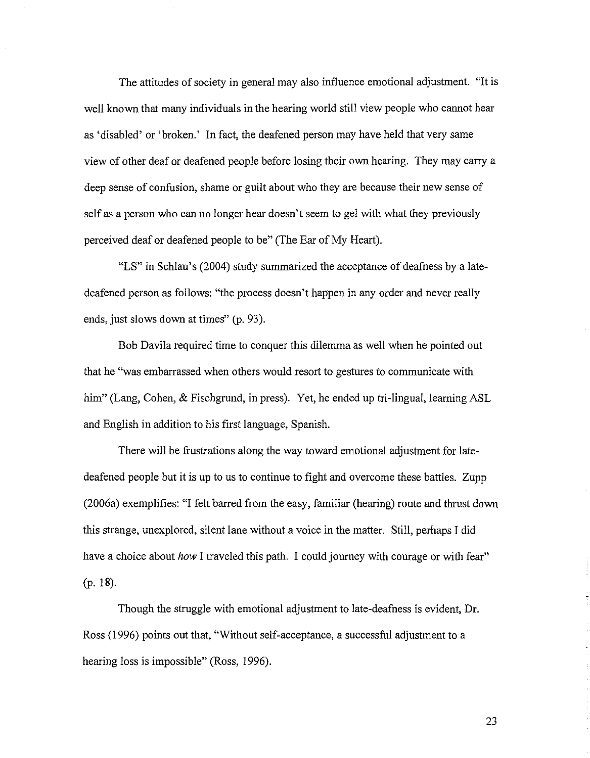The attitudes of society in general may also influence emotional adjustment. "It is well known that many individuals in the hearing world still view people who cannot hear as 'disabled' or 'broken.' In fact, the deafened person may have held that very same view of other deaf or deafened people before losing their own hearing. They may carry a deep sense of confusion, shame or guilt about who they are because their new sense of self as a person who can no longer hear doesn't seem to gel with what they previously perceived deaf or deafened people to be" (The Ear of My Heart).

"LS" in Schlau's (2004) study summarized the acceptance of deafness by a latedeafened person as follows: "the process doesn't happen in any order and never really ends, just slows down at times" (p. 93).

Bob Davila required time to conquer this dilemma as well when he pointed out that he "was embarrassed when others would resort to gestures to communicate with him" (Lang, Cohen, & Fischgrund, in press). Yet, he ended up tri-lingual, learning ASL and English in addition to his first language, Spanish.

There will be frustrations along the way toward emotional adjustment for latedeafened people but it is up to us to continue to fight and overcome these battles. Zupp (2006a) exemplifies: "I felt barred from the easy, familiar (hearing) route and thrust down this strange, unexplored, silent lane without a voice in the matter. Still, perhaps I did have a choice about *how* I traveled this path. I could journey with courage or with fear" (p. 18).

Though the struggle with emotional adjustment to late-deafness is evident, Dr. Ross (1996) points out that, "Without self-acceptance, a successful adjustment to a hearing loss is impossible" (Ross, 1996).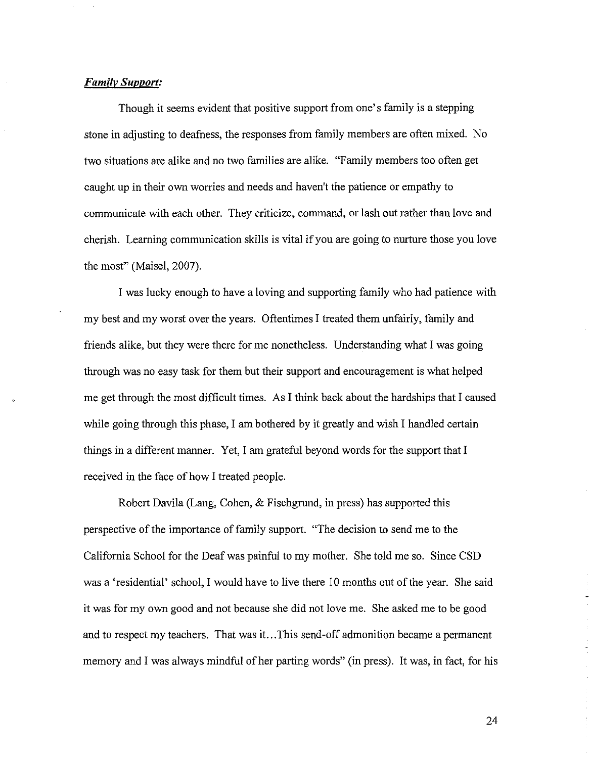# *Familv Support:*

Though it seems evident that positive support from one's family is a stepping stone in adjusting to deafness, the responses from family members are often mixed. No two situations are alike and no two families are alike. "Family members too often get caught up in their own worries and needs and haven't the patience or empathy to communicate with each other. They criticize, command, or lash out rather than love and cherish. Learning communication skills is vital if you are going to nurture those you love the most" (Maisel, 2007).

I was lucky enough to have a loving and supporting family who had patience with my best and my worst over the years. Oftentimes I treated them unfairly, family and friends alike, but they were there for me nonetheless. Understanding what I was going through was no easy task for them but their support and encouragement is what helped me get through the most difficult times. As I think back about the hardships that I caused while going through this phase, I am bothered by it greatly and wish I handled certain things in a different manner. Yet, I am grateful beyond words for the support that I received in the face of how I treated people.

Robert Davila (Lang, Cohen, & Fischgrund, in press) has supported this perspective of the importance of family support. "The decision to send me to the California School for the Deaf was painful to my mother. She told me so. Since CSD was a 'residential' school, I would have to live there 10 months out of the year. She said it was for my own good and not because she did not love me. She asked me to be good and to respect my teachers. That was it...This send-off admonition became a permanent memory and I was always mindful of her parting words" (in press). It was, in fact, for his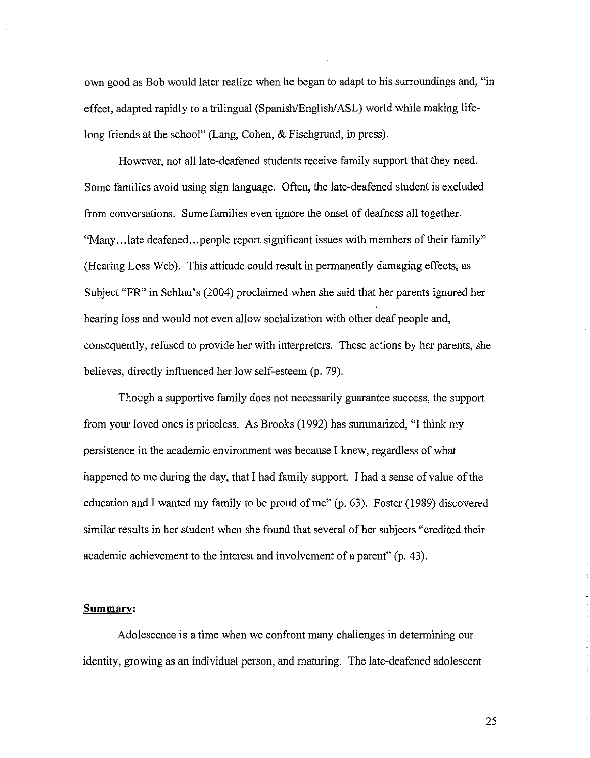own good as Bob would later realize when he began to adapt to his surroundings and, "in effect, adapted rapidly to a trilingual (Spanish/English/ASL) world while making lifelong friends at the school" (Lang, Cohen, & Fischgrund, in press).

However, not all late-deafened students receive family support that they need. Some families avoid using sign language. Often, the late-deafened student is excluded from conversations. Some families even ignore the onset of deafness all together. "Many...late deafened...people report significant issues with members of their family" (Hearing Loss Web). This attitude could result in permanently damaging effects, as Subject "FR" in Schlau's (2004) proclaimed when she said that her parents ignored her hearing loss and would not even allow socialization with other deaf people and, consequently, refused to provide her with interpreters. These actions by her parents, she believes, directly influenced her low self-esteem (p. 79).

Though a supportive family does not necessarily guarantee success, the support from your loved ones is priceless. As Brooks (1992) has summarized, "1 think my persistence in the academic environment was because 1 knew, regardless of what happened to me during the day, that I had family support. I had a sense of value of the education and I wanted my family to be proud of me"  $(p. 63)$ . Foster (1989) discovered similar results in her student when she found that several of her subjects "credited their academic achievement to the interest and involvement of a parent" (p. 43).

#### **Summary:**

Adolescence is a time when we confront many challenges in determining our identity, growing as an individual person, and maturing. The late-deafened adolescent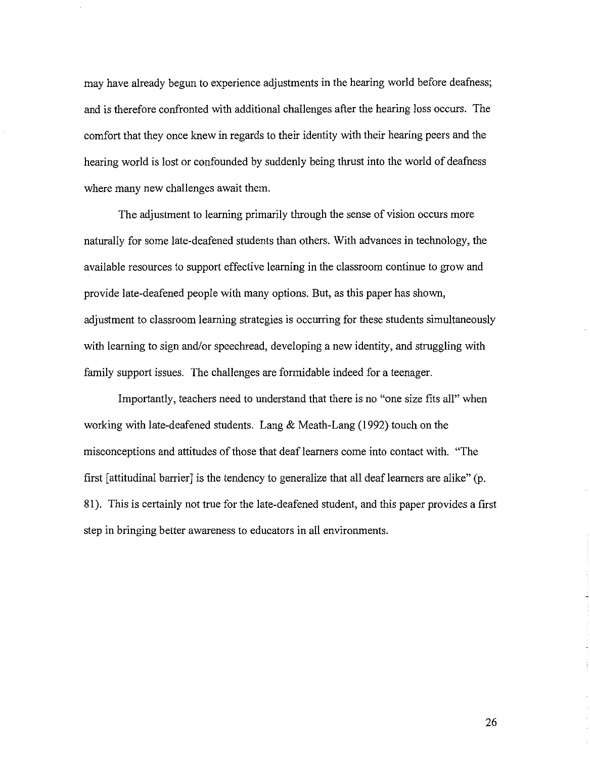may have already begun to experience adjustments in the hearing world before deafness; and is therefore confronted with additional challenges after the hearing loss occurs. The comfort that they once knew in regards to their identity with their hearing peers and the hearing world is lost or confounded by suddenly being thrust into the world of deafness where many new challenges await them.

The adjustment to learning primarily through the sense of vision occurs more naturally for some late-deafened students than others. With advances in technology, the available resources to support effective learning in the classroom continue to grow and provide late-deafened people with many options. But, as this paper has shown, adjustment to classroom learning strategies is occurring for these students simultaneously with learning to sign and/or speechread, developing a new identity, and struggling with family support issues. The challenges are formidable indeed for a teenager.

Importantly, teachers need to understand that there is no "one size fits all" when working with late-deafened students. Lang  $\&$  Meath-Lang (1992) touch on the misconceptions and attitudes of those that deaf learners come into contact with. "The first [attitudinal barrier] is the tendency to generalize that all deaflearners are alike" (p. 81). This is certainly not true for the late-deafened student, and this paper provides a first step in bringing better awareness to educators in all environments.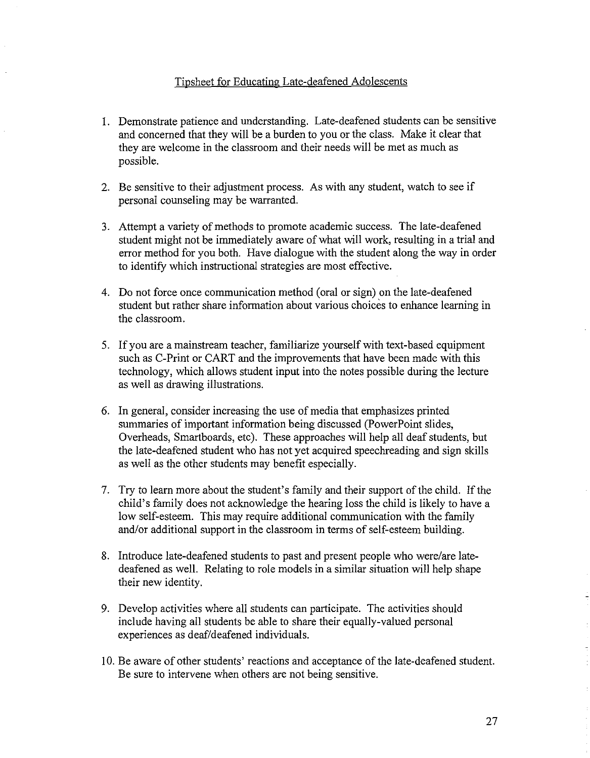# Tipsheet for Educating Late-deafened Adolescents

- 1. Demonstrate patience and understanding. Late-deafened students can be sensitive and concerned that they will be a burden to you or the class. Make it clear that they are welcome in the classroom and their needs will be met as much as possible.
- 2. Be sensitive to their adjustment process. As with any student, watch to see if personal counseling may be warranted.
- 3. Attempt a variety of methods to promote academic success. The late-deafened student might not be immediately aware of what will work, resulting in a trial and error method for you both. Have dialogue with the student along the way in order to identifY which instructional strategies are most effective.
- 4. Do not force once communication method (oral or sign) on the late-deafened student but rather share information about various choices to enhance learning in the classroom.
- 5. If you are a mainstream teacher, familiarize yourself with text-based equipment such as C-Print or CART and the improvements that have been made with this technology, which allows student input into the notes possible during the lecture as well as drawing illustrations.
- 6. In general, consider increasing the use of media that emphasizes printed summaries of important information being discussed (PowerPoint slides, Overheads, Smartboards, etc). These approaches will help all deaf students, but the late-deafened student who has not yet acquired speechreading and sign skills as well as the other students may benefit especially.
- 7. Try to learn more about the student's family and their support of the child. If the child's family does not acknowledge the hearing loss the child is likely to have a low self-esteem. This may require additional communication with the family and/or additional support in the classroom in terms of self-esteem building.
- 8. Introduce late-deafened students to past and present people who were/are latedeafened as well. Relating to role models in a similar situation will help shape their new identity.
- 9. Develop activities where all students can participate. The activities should include having all students be able to share their equally-valued personal experiences as deaf/deafened individuals.
- 10. Be aware of other students' reactions and acceptance ofthe late-deafened student. Be sure to intervene when others are not being sensitive.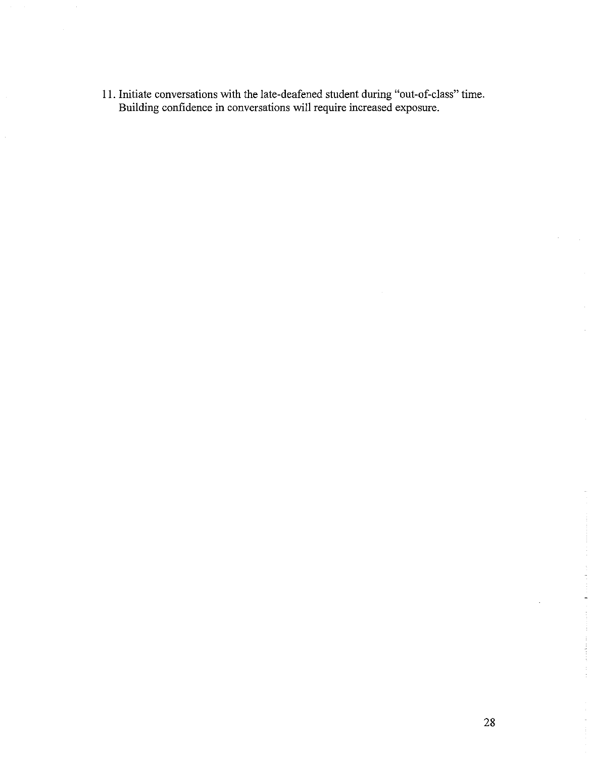II. Initiate conversations with the late-deafened student during "out-of-class" time. Building confidence in conversations will require increased exposure.

 $\bar{z}$ 

 $\hat{\mathcal{L}}$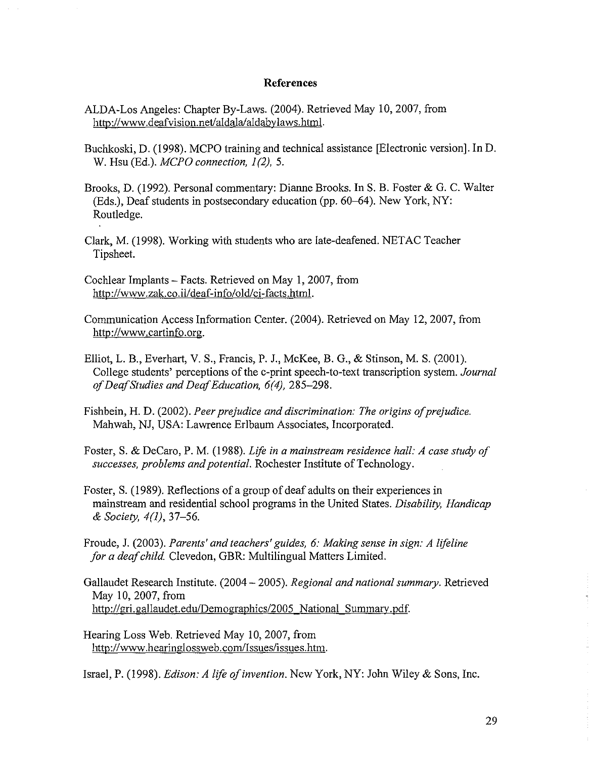### **References**

- ALDA-Los Angeles: Chapter By-Laws. (2004). Retrieved May 10,2007, from http://www.deafvision.net/aldala/aldabylaws.html.
- Buchkoski, D. (1998). MCPO training and technical assistance [Electronic version]. In D. W. Hsu (Ed.). *MCPO connection, 1*(2), 5.
- Brooks, D. (1992). Personal commentary: Dianne Brooks. In S. B. Foster & G. C. Walter (Eds.), Deaf students in postsecondary education (pp. 60-64). New York, NY: Routledge.
- Clark, M. (1998). Working with students who are late-deafened. NETAC Teacher Tipsheet.
- Cochlear Implants Facts. Retrieved on May 1, 2007, from http://www.zak.co.il/deaf-info/old/ci-facts.html.
- Communication Access Information Center. (2004). Retrieved on May 12,2007, from http://www.cartinfo.org.
- Elliot, 1. B., Everhart, V. S., Francis, P. J., McKee, B. G., & Stinson, M. S. (2001). College students' perceptions of the c-print speech-to-text transcription system. *Journal ofDeafStudies and DeqfEducation,* 6(4), 285-298.
- Fishbein, H. D. (2002). *Peer prejudice and discrimination: The origins ofprejudice.* Mahwah, NJ, USA: Lawrence Erlbaum Associates, Incorporated.
- Foster, S. & DeCaro, P. M. (1988). *Lift in a mainstream residence hall: A case study of successes, problems andpotential.* Rochester Institute ofTechnology.
- Foster, S. (1989). Reflections of a group of deaf adults on their experiences in mainstream and residential school programs in the United States. *Disability, Handicap* & *Society,* 4(1),37-56.
- Froude, J. (2003). *Parents' and teachers' guides,* 6: *Making sense in sign: A lifeline for a deafchild* Clevedon, GBR: Multilingual Matters Limited.
- Gallaudet Research Institute. (2004 2005). *Regional and national summary.* Retrieved May 10,2007, from http://gri.gallaudet.edu/Demographics/2005 National Summary.pdf.
- Hearing Loss Web. Retrieved May 10,2007, from http://www.hearinglossweb.com/lssues/issues.htm.

Israel, P. (1998). *Edison: A life ofinvention.* New York, NY: John Wiley & Sons, Inc.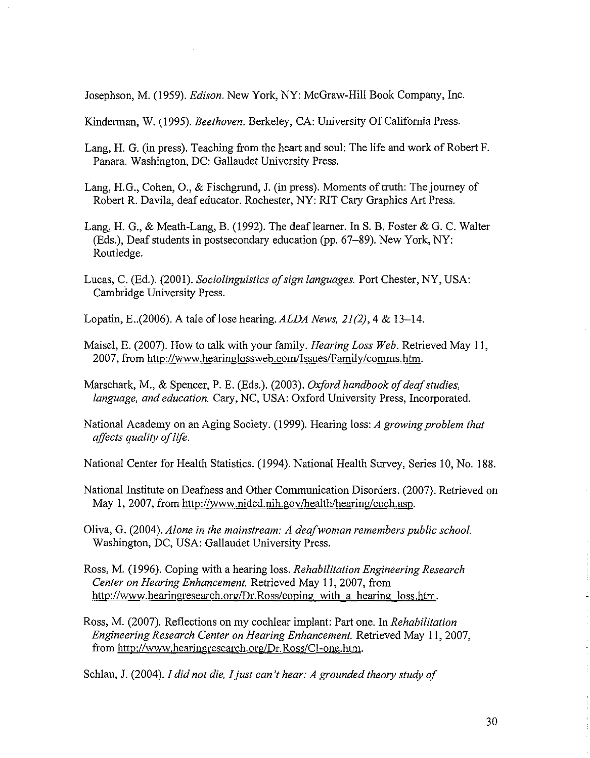Josephson, M. (1959). *Edison.* New York, NY: McGraw-Hill Book Company, Inc.

Kinderman, W. (1995). *Beethoven.* Berkeley, CA: University Of California Press.

- Lang, H. G. (in press). Teaching from the heart and soul: The life and work of Robert F. Panara. Washington, DC: Gallaudet University Press.
- Lang, H.G., Cohen, O., & Fischgrund, J. (in press). Moments of truth: The journey of Robert R. Davila, deaf educator. Rochester, NY: RIT Cary Graphics Art Press.
- Lang, H. G., & Meath-Lang, B. (1992). The deaf learner. In S. B. Foster & G. C. Walter (Eds.), Deaf students in postsecondary education (pp. 67-89). New York, NY: Routledge.
- Lucas, C. (Ed.). (2001). *Sociolinguistics of sign languages*. Port Chester, NY, USA: Cambridge University Press.
- Lopatin, E..(2006). A tale oflose hearing. *ALDA News,* 21(2),4 & 13-14.
- Maisel, E. (2007). How to talk with your family. *Hearing Loss Web.* Retrieved May II, 2007, from http://www.hearinglossweb.com/lssues/Family/comms.htm.
- Marschark, M., & Spencer, P. E. (Eds.). (2003). *Oxford handbook of deaf studies*, *language, and education.* Cary, NC, USA: Oxford University Press, Incorporated.
- National Academy on an Aging Society. (1999). Hearing loss: *A growing problem that affects quality oflife.*

National Center for Health Statistics. (1994). National Health Survey, Series 10, No. 188.

- National Institute on Deafness and Other Communication Disorders. (2007). Retrieved on May I, 2007, from http://www.nidcd.nih.gov/health/hearing/coch.asp.
- Oliva, G. (2004). *Alone in the mainstream: A deafwoman remembers public school.* Washington, DC, USA: Gallaudet University Press.
- Ross, M. (1996). Coping with a hearing loss. *Rehabilitation Engineering Research Center on Hearing Enhancement.* Retrieved May 11,2007, from http://www.hearingresearch.org/Dr.Ross/coping with a hearing loss.htm.
- Ross, M. (2007). Reflections on my cochlear implant: Part one. In *Rehabilitation Engineering Research Center on Hearing Enhancement.* Retrieved May 11,2007, from http://www.hearingresearch.org/Dr.Ross/CI-one.htm.

Schlau, J. (2004). *I did not die, Ijust can't hear: A grounded theory study of*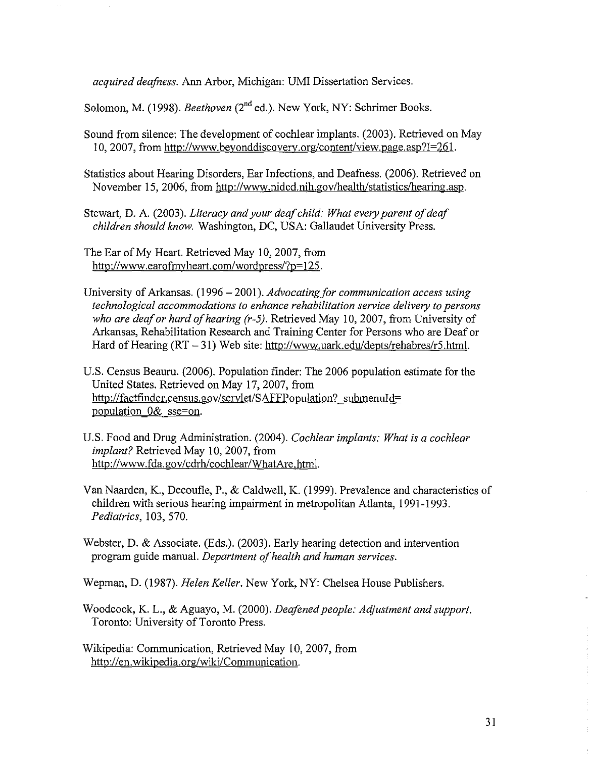*acquired deafness.* Ann Arbor, Michigan: UMI Dissertation Services.

Solomon, M. (1998). *Beethoven* (2<sup>nd</sup> ed.). New York, NY: Schrimer Books.

Sound from silence: The development of cochlear implants. (2003). Retrieved on May 10, 2007, from http://WVvw.beyonddiscovery.org/content/view.page.asp?I=261.

Statistics about Hearing Disorders, Ear Infections, and Deafness. (2006). Retrieved on November 15, 2006, from http://www.nidcd.nih.gov/health/statistics/hearing.asp.

Stewart, D. A. (2003). *Literacy and your deafchild: What every parent ofdeaf children should know.* Washington, DC, USA: Gallaudet University Press.

The Ear of My Heart. Retrieved May 10, 2007, from http://WWVv.earofmyheart.com/wordpress/?p=125.

- University of Arkansas. (1996 2001). *Advocating for communication access using technological accommodations to enhance rehabilitation service delivery to persons who are deafor hard ofhearing (r-5).* Retrieved May 10,2007, from University of Arkansas, Rehabilitation Research and Training Center for Persons who are Deaf or Hard of Hearing  $(RT - 31)$  Web site: http://www.uark.edu/depts/rehabres/r5.html.
- U.S. Census Beauru. (2006). Population finder: The 2006 population estimate for the United States. Retrieved on May 17, 2007, from http://factfinder.census.gov/servlet/SAFFPopulation? submenuId= population 0& sse=on.
- U.S. Food and Drug Administration. (2004). *Cochlear implants: What is a cochlear implant?* Retrieved May 10, 2007, from http://www.fda.gov/cdrh/cochlear/WhatAre.html.

Van Naarden, K., Decoufle, P., & Caldwell, K. (1999). Prevalence and characteristics of children with serious hearing impairment in metropolitan Atlanta, 1991-1993. *Pediatrics,* 103, 570.

Webster, D. & Associate. (Eds.). (2003). Early hearing detection and intervention program guide manual. *Department ofhealth and human services.*

Wepman, D. (1987). *Helen Keller.* New York, NY: Chelsea House Publishers.

Woodcock, K. L., & Aguayo, M. (2000). *Deafened people: Adjustment and support.* Toronto: University of Toronto Press.

Wikipedia: Communication, Retrieved May 10,2007, from http://en.wikipedia.org/wiki/Communication.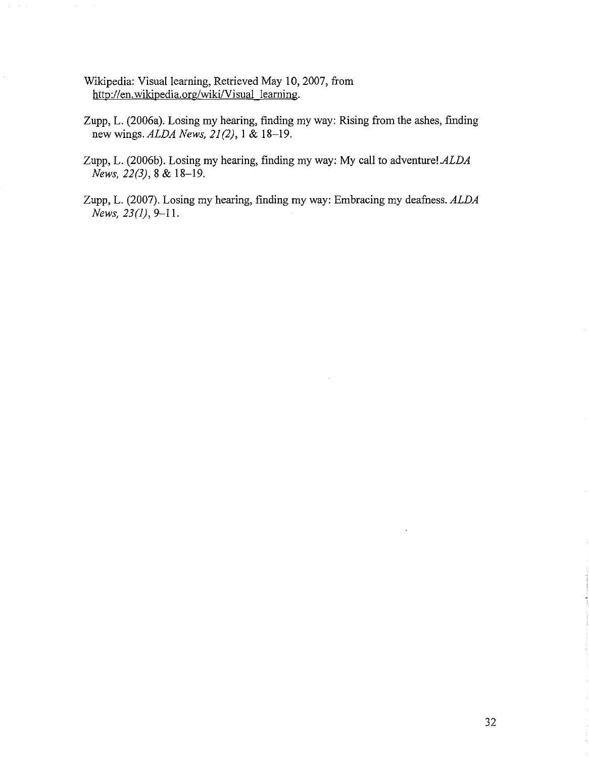- Wikipedia: Visual learning, Retrieved May 10,2007, from http://en.wikipedia.org/wiki/Visual learning.
- Zupp, L. (2006a). Losing my hearing, finding my way: Rising from the ashes, finding new wings. *ALDA News,* 21(2), I & 18-19.
- Zupp, L. (2006b). Losing my hearing, finding my way: My call to adventure! *ALDA News,* 22(3),8 & 18-19.
- Zupp, L. (2007). Losing my hearing, finding my way: Embracing my deafness. *ALDA News,* 23(1), 9-11.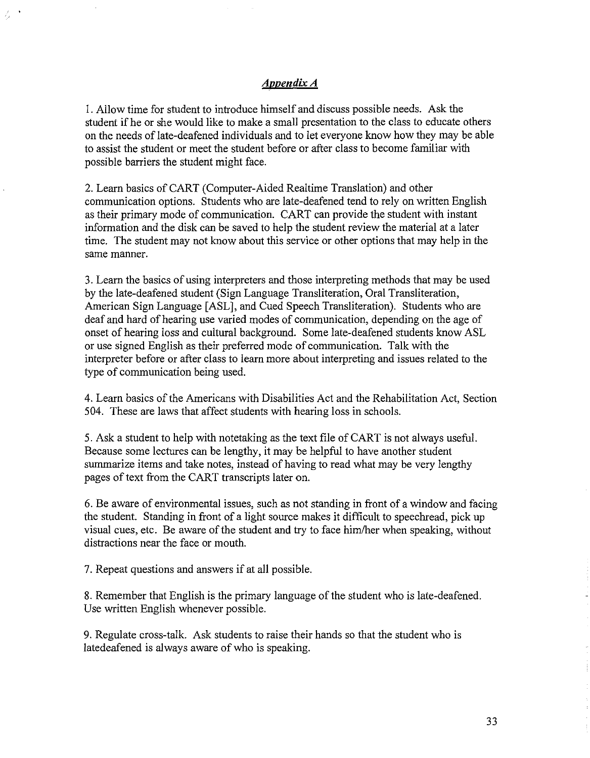# Appendix A

1. Allow time for student to introduce himself and discuss possible needs. Ask the student if he or she would like to make a small presentation to the class to educate others on the needs oflate-deafened individuals and to let everyone know how they may be able to assist the student or meet the student before or after class to become familiar with possible barriers the student might face.

2. Learn basics of CART (Computer-Aided Realtime Translation) and other communication options. Students who are late-deafened tend to rely on written English as their primary mode of communication. CART can provide the student with instant information and the disk can be saved to help the student review the material at a later time. The student may not know about this service or other options that may help in the same manner.

3. Learn the basics of using interpreters and those interpreting methods that may be used by the late-deafened student (Sign Language Transliteration, Oral Transliteration, American Sign Language [ASL], and Cued Speech Transliteration). Students who are deaf and hard of hearing use varied modes of communication, depending on the age of onset of hearing loss and cultural background. Some late-deafened students know ASL or use signed English as their preferred mode of communication. Talk with the interpreter before or after class to leam more about interpreting and issues related to the type of communication being used.

4. Learn basics of the Americans with Disabilities Act and the Rehabilitation Act, Section 504. These are laws that affect students with hearing loss in schools.

5. Ask a student to help with notetaking as the text file of CART is not always useful. Because some lectures can be lengthy, it may be helpful to have another student summarize items and take notes, instead of having to read what may be very lengthy pages of text from the CART transcripts later on.

6. Be aware of environmental issues, such as not standing in front of a window and facing the student. Standing in front of a light source makes it difficult to speechread, pick up visual cues, etc. Be aware of the student and try to face him/her when speaking, without distractions near the face or mouth.

7. Repeat questions and answers if at all possible.

8. Remember that English is the primary language of the student who is late-deafened. Use written English whenever possible.

9. Regulate cross-talk. Ask students to raise their hands so that the student who is latedeafened is always aware of who is speaking.